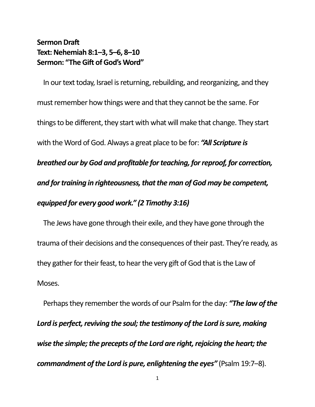## **Sermon Draft Text: Nehemiah 8:1–3, 5–6, 8–10 Sermon: "The Gift of God's Word"**

In our text today, Israel is returning, rebuilding, and reorganizing, and they must remember how things were and that they cannot be the same. For things to be different, they start with what will make that change. They start with the Word of God. Always a great place to be for: *"All Scripture is breathed our by God and profitable for teaching, for reproof, for correction, and for training in righteousness, that the man of God may be competent, equipped for every good work." (2 Timothy 3:16)*

The Jews have gone through their exile, and they have gone through the trauma of their decisions and the consequences of their past. They're ready, as they gather for their feast, to hear the very gift of God that is the Law of Moses.

Perhaps they remember the words of our Psalm for the day: *"The law of the*  Lord is perfect, reviving the soul; the testimony of the Lord is sure, making *wise the simple; the precepts of the Lord are right, rejoicing the heart; the commandment of the Lord is pure, enlightening the eyes"* (Psalm 19:7–8).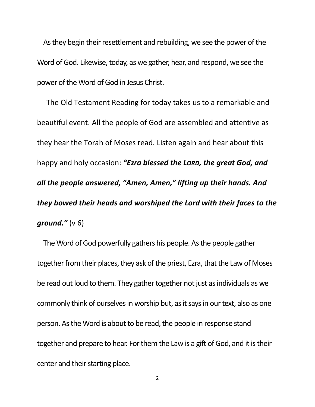As they begin their resettlement and rebuilding, we see the power of the Word of God. Likewise, today, as we gather, hear, and respond, we see the power of the Word of God in Jesus Christ.

The Old Testament Reading for today takes us to a remarkable and beautiful event. All the people of God are assembled and attentive as they hear the Torah of Moses read. Listen again and hear about this happy and holy occasion: *"Ezra blessed the LORD, the great God, and all the people answered, "Amen, Amen," lifting up their hands. And they bowed their heads and worshiped the Lord with their faces to the ground."* (v 6)

The Word of God powerfully gathers his people. As the people gather together from their places, they ask of the priest, Ezra, that the Law of Moses be read out loud to them. They gather together not just as individuals as we commonly think of ourselves in worship but, as it says in our text, also as one person. As the Word is about to be read, the people in response stand together and prepare to hear. For them the Law is a gift of God, and it is their center and their starting place.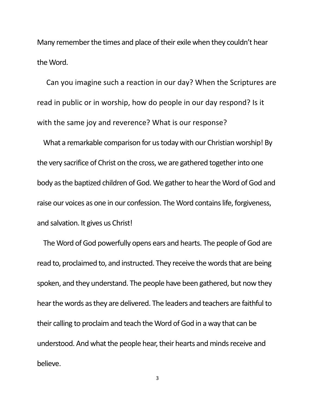Many remember the times and place of their exile when they couldn't hear the Word.

Can you imagine such a reaction in our day? When the Scriptures are read in public or in worship, how do people in our day respond? Is it with the same joy and reverence? What is our response?

What a remarkable comparison for us today with our Christian worship! By the very sacrifice of Christ on the cross, we are gathered together into one body as the baptized children of God. We gather to hear the Word of God and raise our voices as one in our confession. The Word contains life, forgiveness, and salvation. It gives us Christ!

The Word of God powerfully opens ears and hearts. The people of God are read to, proclaimed to, and instructed. They receive the words that are being spoken, and they understand. The people have been gathered, but now they hear the words as they are delivered. The leaders and teachers are faithful to their calling to proclaim and teach the Word of God in a way that can be understood. And what the people hear, their hearts and minds receive and believe.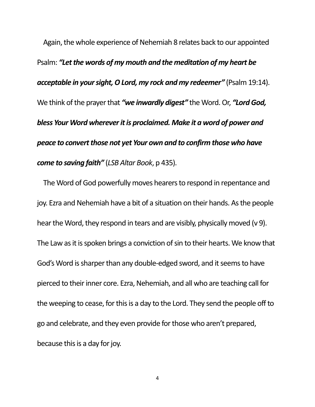Again, the whole experience of Nehemiah 8 relates back to our appointed Psalm: *"Let the words of my mouth and the meditation of my heart be acceptable in your sight, O Lord, my rock and my redeemer"* (Psalm19:14). We think of the prayer that *"we inwardly digest"* the Word. Or, *"Lord God, bless Your Word wherever it is proclaimed. Make it a word of power and peace to convert those not yet Your own and to confirm those who have come to saving faith"* (*LSB Altar Book*, p 435).

The Word of God powerfully moves hearers to respond in repentance and joy. Ezra and Nehemiah have a bit of a situation on their hands. As the people hear the Word, they respond in tears and are visibly, physically moved (v 9). The Law as it is spoken brings a conviction of sin to their hearts. We know that God's Word is sharper than any double-edged sword, and it seems to have pierced to their inner core. Ezra, Nehemiah, and all who are teaching call for the weeping to cease, for this is a day to the Lord. They send the people off to go and celebrate, and they even provide for those who aren't prepared, because this is a day for joy.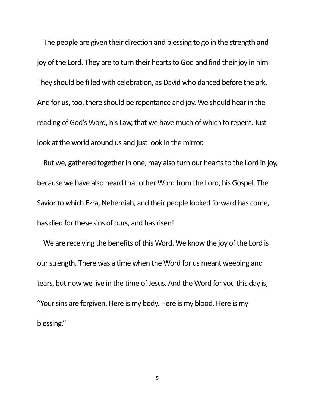The people are given their direction and blessing to go in the strength and joy of the Lord. They are to turn their hearts to God and find their joy in him. They should be filled with celebration, as David who danced before the ark. And for us, too, there should be repentance and joy. We should hear in the reading of God's Word, his Law, that we have much of which to repent. Just look at the world around us and just look in the mirror.

But we, gathered together in one, may also turn our hearts to the Lord in joy, because we have also heard that other Word from the Lord, his Gospel. The Savior to which Ezra, Nehemiah, and their people looked forward has come, has died for these sins of ours, and has risen!

We are receiving the benefits of this Word. We know the joy of the Lord is our strength. There was a time when the Word for us meant weeping and tears, but now we live in the time of Jesus. And the Word for you this day is, "Your sins are forgiven. Here is my body. Here is my blood. Here is my blessing."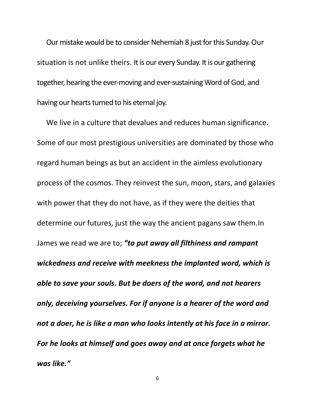Our mistake would be to consider Nehemiah 8 just for this Sunday. Our situation is not unlike theirs. It is our every Sunday. It is our gathering together, hearing the ever-moving and ever-sustaining Word of God, and having our hearts turned to his eternal joy.

We live in a culture that devalues and reduces human significance. Some of our most prestigious universities are dominated by those who regard human beings as but an accident in the aimless evolutionary process of the cosmos. They reinvest the sun, moon, stars, and galaxies with power that they do not have, as if they were the deities that determine our futures, just the way the ancient pagans saw them.In James we read we are to; *"to put away all filthiness and rampant wickedness and receive with meekness the implanted word, which is able to save your souls. But be doers of the word, and not hearers only, deceiving yourselves. For if anyone is a hearer of the word and not a doer, he is like a man who looks intently at his face in a mirror. For he looks at himself and goes away and at once forgets what he was like."*